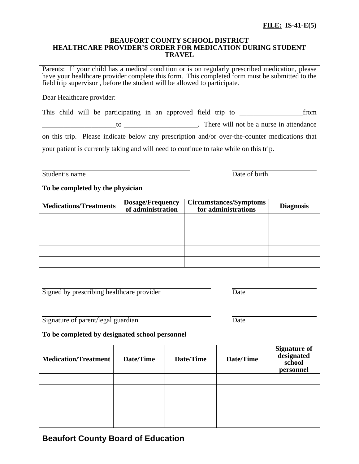### **BEAUFORT COUNTY SCHOOL DISTRICT HEALTHCARE PROVIDER'S ORDER FOR MEDICATION DURING STUDENT TRAVEL**

Parents: If your child has a medical condition or is on regularly prescribed medication, please have your healthcare provider complete this form. This completed form must be submitted to the field trip supervisor , before the student will be allowed to participate.

Dear Healthcare provider:

This child will be participating in an approved field trip to \_\_\_\_\_\_\_\_\_\_\_\_\_\_\_\_\_\_from \_\_\_\_\_\_\_\_\_\_\_\_\_\_\_\_\_\_\_\_\_to \_\_\_\_\_\_\_\_\_\_\_\_\_\_\_\_\_\_\_\_\_. There will not be a nurse in attendance on this trip. Please indicate below any prescription and/or over-the-counter medications that

your patient is currently taking and will need to continue to take while on this trip.

Student's name Date of birth

## **To be completed by the physician**

| <b>Medications/Treatments</b> | <b>Dosage/Frequency</b><br>of administration | <b>Circumstances/Symptoms</b><br>for administrations | <b>Diagnosis</b> |
|-------------------------------|----------------------------------------------|------------------------------------------------------|------------------|
|                               |                                              |                                                      |                  |
|                               |                                              |                                                      |                  |
|                               |                                              |                                                      |                  |
|                               |                                              |                                                      |                  |
|                               |                                              |                                                      |                  |

| Signed by prescribing healthcare provider | Jate |  |
|-------------------------------------------|------|--|
|                                           |      |  |

 $\overline{a}$ Signature of parent/legal guardian Date

## **To be completed by designated school personnel**

| <b>Medication/Treatment</b> | Date/Time | Date/Time | Date/Time | <b>Signature of<br/>designated</b><br>school<br>personnel |
|-----------------------------|-----------|-----------|-----------|-----------------------------------------------------------|
|                             |           |           |           |                                                           |
|                             |           |           |           |                                                           |
|                             |           |           |           |                                                           |
|                             |           |           |           |                                                           |
|                             |           |           |           |                                                           |

# **Beaufort County Board of Education**